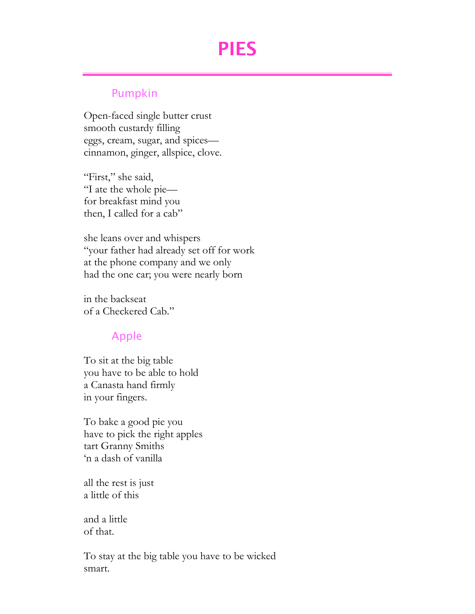# PIES

### Pumpkin

Open-faced single butter crust smooth custardy filling eggs, cream, sugar, and spices cinnamon, ginger, allspice, clove.

"First," she said, "I ate the whole pie for breakfast mind you then, I called for a cab"

she leans over and whispers "your father had already set off for work at the phone company and we only had the one car; you were nearly born

in the backseat of a Checkered Cab."

## Apple

To sit at the big table you have to be able to hold a Canasta hand firmly in your fingers.

To bake a good pie you have to pick the right apples tart Granny Smiths 'n a dash of vanilla

all the rest is just a little of this

and a little of that.

To stay at the big table you have to be wicked smart.